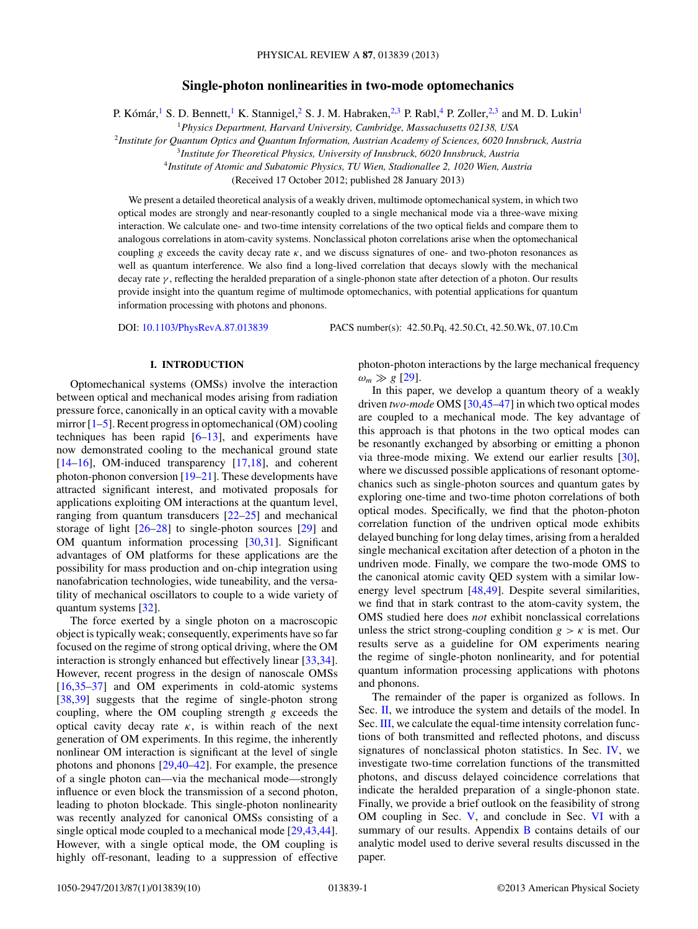# **Single-photon nonlinearities in two-mode optomechanics**

P. Kómár, <sup>1</sup> S. D. Bennett, <sup>1</sup> K. Stannigel, <sup>2</sup> S. J. M. Habraken, <sup>2,3</sup> P. Rabl, <sup>4</sup> P. Zoller, <sup>2,3</sup> and M. D. Lukin<sup>1</sup>

<sup>1</sup>*Physics Department, Harvard University, Cambridge, Massachusetts 02138, USA*

<sup>2</sup>*Institute for Quantum Optics and Quantum Information, Austrian Academy of Sciences, 6020 Innsbruck, Austria*

<sup>3</sup>*Institute for Theoretical Physics, University of Innsbruck, 6020 Innsbruck, Austria*

<sup>4</sup>*Institute of Atomic and Subatomic Physics, TU Wien, Stadionallee 2, 1020 Wien, Austria*

(Received 17 October 2012; published 28 January 2013)

We present a detailed theoretical analysis of a weakly driven, multimode optomechanical system, in which two optical modes are strongly and near-resonantly coupled to a single mechanical mode via a three-wave mixing interaction. We calculate one- and two-time intensity correlations of the two optical fields and compare them to analogous correlations in atom-cavity systems. Nonclassical photon correlations arise when the optomechanical coupling *g* exceeds the cavity decay rate *κ*, and we discuss signatures of one- and two-photon resonances as well as quantum interference. We also find a long-lived correlation that decays slowly with the mechanical decay rate *γ* , reflecting the heralded preparation of a single-phonon state after detection of a photon. Our results provide insight into the quantum regime of multimode optomechanics, with potential applications for quantum information processing with photons and phonons.

DOI: [10.1103/PhysRevA.87.013839](http://dx.doi.org/10.1103/PhysRevA.87.013839) PACS number(s): 42*.*50*.*Pq, 42*.*50*.*Ct, 42*.*50*.*Wk, 07*.*10*.*Cm

### **I. INTRODUCTION**

Optomechanical systems (OMSs) involve the interaction between optical and mechanical modes arising from radiation pressure force, canonically in an optical cavity with a movable mirror  $[1-5]$ . Recent progress in optomechanical (OM) cooling techniques has been rapid [\[6](#page-8-0)[–13\]](#page-9-0), and experiments have now demonstrated cooling to the mechanical ground state [\[14–16\]](#page-9-0), OM-induced transparency [\[17,18\]](#page-9-0), and coherent photon-phonon conversion [\[19–21\]](#page-9-0). These developments have attracted significant interest, and motivated proposals for applications exploiting OM interactions at the quantum level, ranging from quantum transducers [\[22–25\]](#page-9-0) and mechanical storage of light  $[26-28]$  to single-photon sources  $[29]$  and OM quantum information processing [\[30,31\]](#page-9-0). Significant advantages of OM platforms for these applications are the possibility for mass production and on-chip integration using nanofabrication technologies, wide tuneability, and the versatility of mechanical oscillators to couple to a wide variety of quantum systems [\[32\]](#page-9-0).

The force exerted by a single photon on a macroscopic object is typically weak; consequently, experiments have so far focused on the regime of strong optical driving, where the OM interaction is strongly enhanced but effectively linear [\[33,34\]](#page-9-0). However, recent progress in the design of nanoscale OMSs [\[16,35–37\]](#page-9-0) and OM experiments in cold-atomic systems [\[38,39\]](#page-9-0) suggests that the regime of single-photon strong coupling, where the OM coupling strength *g* exceeds the optical cavity decay rate  $\kappa$ , is within reach of the next generation of OM experiments. In this regime, the inherently nonlinear OM interaction is significant at the level of single photons and phonons [\[29,40–42\]](#page-9-0). For example, the presence of a single photon can—via the mechanical mode—strongly influence or even block the transmission of a second photon, leading to photon blockade. This single-photon nonlinearity was recently analyzed for canonical OMSs consisting of a single optical mode coupled to a mechanical mode [\[29,43,44\]](#page-9-0). However, with a single optical mode, the OM coupling is highly off-resonant, leading to a suppression of effective photon-photon interactions by the large mechanical frequency  $\omega_m \gg g$  [\[29\]](#page-9-0).

In this paper, we develop a quantum theory of a weakly driven *two-mode* OMS [\[30,45–47\]](#page-9-0) in which two optical modes are coupled to a mechanical mode. The key advantage of this approach is that photons in the two optical modes can be resonantly exchanged by absorbing or emitting a phonon via three-mode mixing. We extend our earlier results [\[30\]](#page-9-0), where we discussed possible applications of resonant optomechanics such as single-photon sources and quantum gates by exploring one-time and two-time photon correlations of both optical modes. Specifically, we find that the photon-photon correlation function of the undriven optical mode exhibits delayed bunching for long delay times, arising from a heralded single mechanical excitation after detection of a photon in the undriven mode. Finally, we compare the two-mode OMS to the canonical atomic cavity QED system with a similar lowenergy level spectrum [\[48,49\]](#page-9-0). Despite several similarities, we find that in stark contrast to the atom-cavity system, the OMS studied here does *not* exhibit nonclassical correlations unless the strict strong-coupling condition  $g > k$  is met. Our results serve as a guideline for OM experiments nearing the regime of single-photon nonlinearity, and for potential quantum information processing applications with photons and phonons.

The remainder of the paper is organized as follows. In Sec. [II,](#page-1-0) we introduce the system and details of the model. In Sec. [III,](#page-2-0) we calculate the equal-time intensity correlation functions of both transmitted and reflected photons, and discuss signatures of nonclassical photon statistics. In Sec. [IV,](#page-5-0) we investigate two-time correlation functions of the transmitted photons, and discuss delayed coincidence correlations that indicate the heralded preparation of a single-phonon state. Finally, we provide a brief outlook on the feasibility of strong OM coupling in Sec. [V,](#page-7-0) and conclude in Sec. [VI](#page-7-0) with a summary of our results. Appendix [B](#page-8-0) contains details of our analytic model used to derive several results discussed in the paper.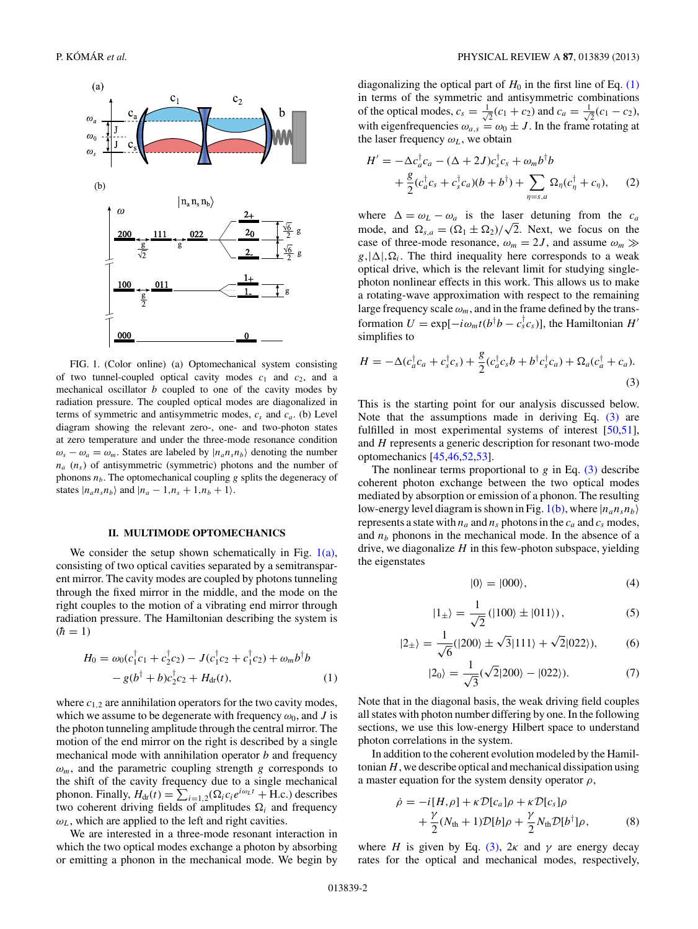<span id="page-1-0"></span>

FIG. 1. (Color online) (a) Optomechanical system consisting of two tunnel-coupled optical cavity modes  $c_1$  and  $c_2$ , and a mechanical oscillator *b* coupled to one of the cavity modes by radiation pressure. The coupled optical modes are diagonalized in terms of symmetric and antisymmetric modes,  $c_s$  and  $c_a$ . (b) Level diagram showing the relevant zero-, one- and two-photon states at zero temperature and under the three-mode resonance condition  $\omega_s - \omega_a = \omega_m$ . States are labeled by  $|n_a n_s n_b\rangle$  denoting the number  $n_a$  ( $n_s$ ) of antisymmetric (symmetric) photons and the number of phonons  $n<sub>b</sub>$ . The optomechanical coupling  $g$  splits the degeneracy of states  $|n_a n_s n_b\rangle$  and  $|n_a - 1, n_s + 1, n_b + 1\rangle$ .

## **II. MULTIMODE OPTOMECHANICS**

We consider the setup shown schematically in Fig.  $1(a)$ , consisting of two optical cavities separated by a semitransparent mirror. The cavity modes are coupled by photons tunneling through the fixed mirror in the middle, and the mode on the right couples to the motion of a vibrating end mirror through radiation pressure. The Hamiltonian describing the system is  $(h = 1)$ 

$$
H_0 = \omega_0 (c_1^{\dagger} c_1 + c_2^{\dagger} c_2) - J (c_1^{\dagger} c_2 + c_1^{\dagger} c_2) + \omega_m b^{\dagger} b - g (b^{\dagger} + b) c_2^{\dagger} c_2 + H_{dr}(t),
$$
 (1)

where  $c_{1,2}$  are annihilation operators for the two cavity modes, which we assume to be degenerate with frequency  $\omega_0$ , and *J* is the photon tunneling amplitude through the central mirror. The motion of the end mirror on the right is described by a single mechanical mode with annihilation operator *b* and frequency  $\omega_m$ , and the parametric coupling strength *g* corresponds to the shift of the cavity frequency due to a single mechanical phonon. Finally,  $H_{dr}(t) = \sum_{i=1,2} (\Omega_i c_i e^{i\omega_L t} + H.c.)$  describes two coherent driving fields of amplitudes  $\Omega_i$  and frequency  $\omega_L$ , which are applied to the left and right cavities.

We are interested in a three-mode resonant interaction in which the two optical modes exchange a photon by absorbing or emitting a phonon in the mechanical mode. We begin by

diagonalizing the optical part of  $H_0$  in the first line of Eq. (1) in terms of the symmetric and antisymmetric combinations of the optical modes,  $c_s = \frac{1}{\sqrt{2}}$  $\overline{z}(c_1+c_2)$  and  $c_a=\frac{1}{\sqrt{2}}$  $\bar{z}$ <sup>(c<sub>1</sub> – c<sub>2</sub>),</sup> with eigenfrequencies  $\omega_{a,s} = \omega_0 \pm J$ . In the frame rotating at the laser frequency  $\omega_L$ , we obtain

$$
H' = -\Delta c_a^{\dagger} c_a - (\Delta + 2J) c_s^{\dagger} c_s + \omega_m b^{\dagger} b + \frac{g}{2} (c_a^{\dagger} c_s + c_s^{\dagger} c_a) (b + b^{\dagger}) + \sum_{\eta = s, a} \Omega_{\eta} (c_{\eta}^{\dagger} + c_{\eta}),
$$
 (2)

where  $\Delta = \omega_L - \omega_a$  is the laser detuning from the  $c_a$ mode, and  $\Omega_{s,a} = (\Omega_1 \pm \Omega_2)/\sqrt{2}$ . Next, we focus on the case of three-mode resonance,  $\omega_m = 2J$ , and assume  $\omega_m \gg$  $g,|\Delta|,\Omega_i$ . The third inequality here corresponds to a weak optical drive, which is the relevant limit for studying singlephoton nonlinear effects in this work. This allows us to make a rotating-wave approximation with respect to the remaining large frequency scale  $\omega_m$ , and in the frame defined by the transformation  $U = \exp[-i\omega_m t (b^\dagger b - c_s^\dagger c_s)]$ , the Hamiltonian *H'* simplifies to

$$
H = -\Delta(c_a^{\dagger}c_a + c_s^{\dagger}c_s) + \frac{g}{2}(c_a^{\dagger}c_s b + b^{\dagger}c_s^{\dagger}c_a) + \Omega_a(c_a^{\dagger} + c_a). \tag{3}
$$

This is the starting point for our analysis discussed below. Note that the assumptions made in deriving Eq. (3) are fulfilled in most experimental systems of interest [\[50,51\]](#page-9-0), and *H* represents a generic description for resonant two-mode optomechanics [\[45,46,52,53\]](#page-9-0).

The nonlinear terms proportional to  $g$  in Eq. (3) describe coherent photon exchange between the two optical modes mediated by absorption or emission of a phonon. The resulting low-energy level diagram is shown in Fig. 1(b), where  $|n_a n_s n_b\rangle$ represents a state with  $n_a$  and  $n_s$  photons in the  $c_a$  and  $c_s$  modes, and  $n_b$  phonons in the mechanical mode. In the absence of a drive, we diagonalize *H* in this few-photon subspace, yielding the eigenstates

$$
|0\rangle = |000\rangle, \tag{4}
$$

$$
|1_{\pm}\rangle = \frac{1}{\sqrt{2}} (|100\rangle \pm |011\rangle), \tag{5}
$$

$$
|2_{\pm}\rangle = \frac{1}{\sqrt{6}}(|200\rangle \pm \sqrt{3}|111\rangle + \sqrt{2}|022\rangle),\tag{6}
$$

$$
|2_0\rangle = \frac{1}{\sqrt{3}}(\sqrt{2}|200\rangle - |022\rangle). \tag{7}
$$

Note that in the diagonal basis, the weak driving field couples all states with photon number differing by one. In the following sections, we use this low-energy Hilbert space to understand photon correlations in the system.

In addition to the coherent evolution modeled by the Hamiltonian*H*, we describe optical and mechanical dissipation using a master equation for the system density operator *ρ*,

$$
\dot{\rho} = -i[H,\rho] + \kappa \mathcal{D}[c_a]\rho + \kappa \mathcal{D}[c_s]\rho + \frac{\gamma}{2}(N_{\text{th}} + 1)\mathcal{D}[b]\rho + \frac{\gamma}{2}N_{\text{th}}\mathcal{D}[b^{\dagger}]\rho,
$$
 (8)

where *H* is given by Eq. (3),  $2\kappa$  and  $\gamma$  are energy decay rates for the optical and mechanical modes, respectively,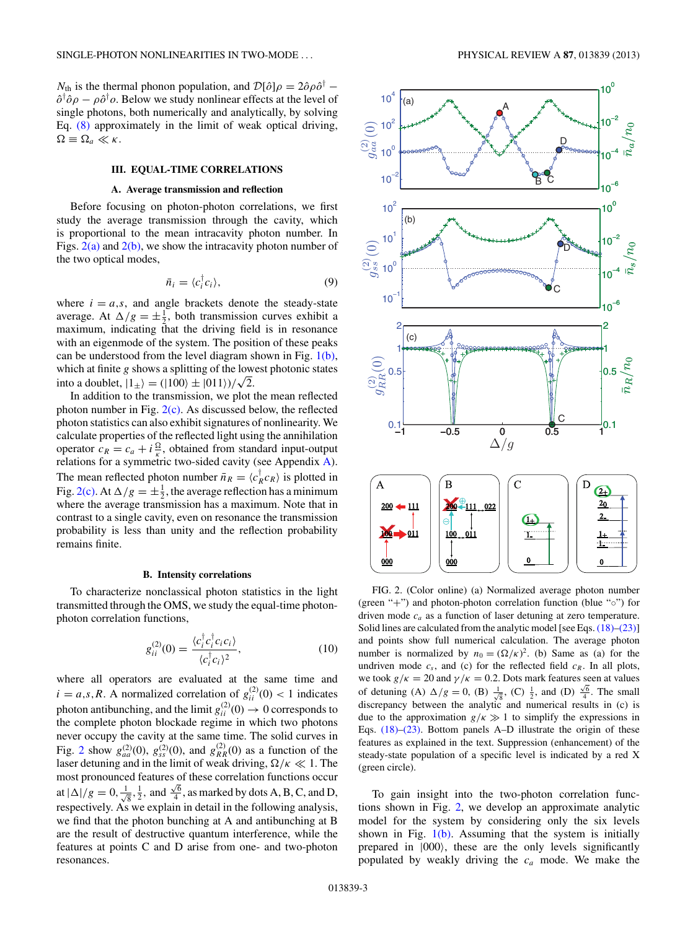<span id="page-2-0"></span>*N*<sub>th</sub> is the thermal phonon population, and  $\mathcal{D}[\hat{o}]\rho = 2\hat{o}\rho\hat{o}^{\dagger}$  −  $\hat{o}^{\dagger} \hat{o} \rho - \rho \hat{o}^{\dagger} \rho$ . Below we study nonlinear effects at the level of single photons, both numerically and analytically, by solving Eq. [\(8\)](#page-1-0) approximately in the limit of weak optical driving,  $\Omega \equiv \Omega_a \ll \kappa$ .

## **III. EQUAL-TIME CORRELATIONS**

### **A. Average transmission and reflection**

Before focusing on photon-photon correlations, we first study the average transmission through the cavity, which is proportional to the mean intracavity photon number. In Figs.  $2(a)$  and  $2(b)$ , we show the intracavity photon number of the two optical modes,

$$
\bar{n}_i = \langle c_i^\dagger c_i \rangle,\tag{9}
$$

where  $i = a, s$ , and angle brackets denote the steady-state average. At  $\Delta/g = \pm \frac{1}{2}$ , both transmission curves exhibit a maximum, indicating that the driving field is in resonance with an eigenmode of the system. The position of these peaks can be understood from the level diagram shown in Fig.  $1(b)$ , which at finite *g* shows a splitting of the lowest photonic states into a doublet,  $|1_{\pm}\rangle = (|100\rangle \pm |011\rangle)/\sqrt{2}$ .

In addition to the transmission, we plot the mean reflected photon number in Fig.  $2(c)$ . As discussed below, the reflected photon statistics can also exhibit signatures of nonlinearity. We calculate properties of the reflected light using the annihilation operator  $c_R = c_a + i \frac{\Omega}{\kappa}$ , obtained from standard input-output relations for a symmetric two-sided cavity (see Appendix [A\)](#page-8-0). The mean reflected photon number  $\bar{n}_R = \langle c_R^{\dagger} c_R \rangle$  is plotted in Fig. 2(c). At  $\Delta/g = \pm \frac{1}{2}$ , the average reflection has a minimum where the average transmission has a maximum. Note that in contrast to a single cavity, even on resonance the transmission probability is less than unity and the reflection probability remains finite.

#### **B. Intensity correlations**

To characterize nonclassical photon statistics in the light transmitted through the OMS, we study the equal-time photonphoton correlation functions,

$$
g_{ii}^{(2)}(0) = \frac{\langle c_i^{\dagger} c_i^{\dagger} c_i c_i \rangle}{\langle c_i^{\dagger} c_i \rangle^2},\tag{10}
$$

where all operators are evaluated at the same time and  $i = a, s, R$ . A normalized correlation of  $g_{ii}^{(2)}(0) < 1$  indicates photon antibunching, and the limit  $g_{ii}^{(2)}(0) \rightarrow 0$  corresponds to the complete photon blockade regime in which two photons never occupy the cavity at the same time. The solid curves in Fig. 2 show  $g_{aa}^{(2)}(0)$ ,  $g_{ss}^{(2)}(0)$ , and  $g_{RR}^{(2)}(0)$  as a function of the laser detuning and in the limit of weak driving,  $\Omega/\kappa \ll 1$ . The most pronounced features of these correlation functions occur at  $|\Delta|/g = 0, \frac{1}{\sqrt{8}}, \frac{1}{2}$ , and  $\frac{\sqrt{6}}{4}$ , as marked by dots A, B, C, and D, respectively. As we explain in detail in the following analysis, we find that the photon bunching at A and antibunching at B are the result of destructive quantum interference, while the features at points C and D arise from one- and two-photon resonances.



FIG. 2. (Color online) (a) Normalized average photon number (green "+") and photon-photon correlation function (blue "◦") for driven mode *ca* as a function of laser detuning at zero temperature. Solid lines are calculated from the analytic model [see Eqs. [\(18\)–\(23\)\]](#page-3-0) and points show full numerical calculation. The average photon number is normalized by  $n_0 = (\Omega/\kappa)^2$ . (b) Same as (a) for the undriven mode  $c_s$ , and (c) for the reflected field  $c_R$ . In all plots, we took  $g/\kappa = 20$  and  $\gamma/\kappa = 0.2$ . Dots mark features seen at values of detuning (A)  $\Delta/g = 0$ , (B)  $\frac{1}{\sqrt{8}}$ , (C)  $\frac{1}{2}$ , and (D)  $\frac{\sqrt{6}}{4}$ . The small discrepancy between the analytic and numerical results in (c) is due to the approximation  $g/\kappa \gg 1$  to simplify the expressions in Eqs. [\(18\)–\(23\).](#page-3-0) Bottom panels A–D illustrate the origin of these features as explained in the text. Suppression (enhancement) of the steady-state population of a specific level is indicated by a red X (green circle).

To gain insight into the two-photon correlation functions shown in Fig. 2, we develop an approximate analytic model for the system by considering only the six levels shown in Fig.  $1(b)$ . Assuming that the system is initially prepared in |000, these are the only levels significantly populated by weakly driving the *ca* mode. We make the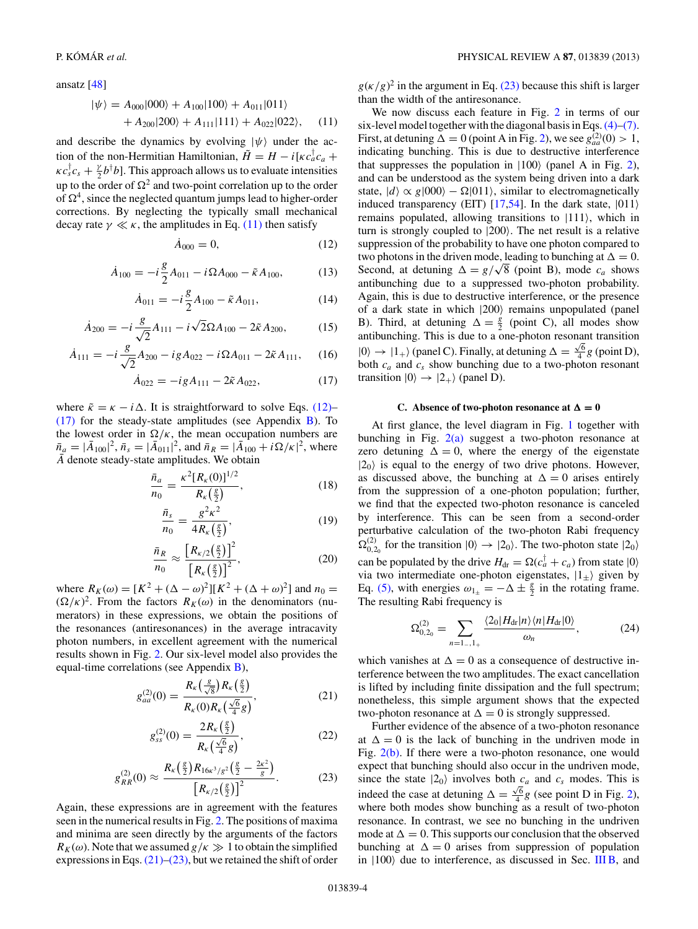<span id="page-3-0"></span>ansatz [\[48\]](#page-9-0)

$$
|\psi\rangle = A_{000}|000\rangle + A_{100}|100\rangle + A_{011}|011\rangle + A_{200}|200\rangle + A_{111}|111\rangle + A_{022}|022\rangle, \quad (11)
$$

and describe the dynamics by evolving  $|\psi\rangle$  under the action of the non-Hermitian Hamiltonian,  $\tilde{H} = H - i[\kappa c_a^{\dagger} c_a + \frac{1}{2}c_a^{\dagger} c_a^{\dagger}]$  $\kappa c_s^{\dagger} c_s + \frac{\gamma}{2} b^{\dagger} b$ . This approach allows us to evaluate intensities up to the order of  $\Omega^2$  and two-point correlation up to the order of  $\Omega^4$ , since the neglected quantum jumps lead to higher-order corrections. By neglecting the typically small mechanical decay rate  $\gamma \ll \kappa$ , the amplitudes in Eq. (11) then satisfy

$$
\dot{A}_{000} = 0, \tag{12}
$$

$$
\dot{A}_{100} = -i\frac{g}{2}A_{011} - i\Omega A_{000} - \tilde{\kappa} A_{100},\tag{13}
$$

$$
\dot{A}_{011} = -i\frac{g}{2}A_{100} - \tilde{\kappa}A_{011},\tag{14}
$$

$$
\dot{A}_{200} = -i\frac{g}{\sqrt{2}}A_{111} - i\sqrt{2}\Omega A_{100} - 2\tilde{\kappa}A_{200},\tag{15}
$$

$$
\dot{A}_{111} = -i\frac{g}{\sqrt{2}}A_{200} - igA_{022} - i\Omega A_{011} - 2\tilde{\kappa} A_{111}, \quad (16)
$$

$$
\dot{A}_{022} = -igA_{111} - 2\tilde{\kappa}A_{022},\tag{17}
$$

where  $\tilde{\kappa} = \kappa - i \Delta$ . It is straightforward to solve Eqs. (12)–  $(17)$  for the steady-state amplitudes (see Appendix [B\)](#page-8-0). To the lowest order in  $\Omega/\kappa$ , the mean occupation numbers are  $\bar{n}_a = |\bar{A}_{100}|^2$ ,  $\bar{n}_s = |\bar{A}_{011}|^2$ , and  $\bar{n}_R = |\bar{A}_{100}|^2 + i\Omega/\kappa|^2$ , where  $\overline{A}$  denote steady-state amplitudes. We obtain

$$
\frac{\bar{n}_a}{n_0} = \frac{\kappa^2 [R_\kappa(0)]^{1/2}}{R_\kappa(\frac{g}{2})},\tag{18}
$$

$$
\frac{\bar{n}_s}{n_0} = \frac{g^2 \kappa^2}{4R_\kappa(\frac{g}{2})},\tag{19}
$$

$$
\frac{\bar{n}_R}{n_0} \approx \frac{\left[R_{\kappa/2}\left(\frac{g}{2}\right)\right]^2}{\left[R_{\kappa}\left(\frac{g}{2}\right)\right]^2},\tag{20}
$$

where  $R_K(\omega) = [K^2 + (\Delta - \omega)^2][K^2 + (\Delta + \omega)^2]$  and  $n_0 =$  $(\Omega/\kappa)^2$ . From the factors  $R_K(\omega)$  in the denominators (numerators) in these expressions, we obtain the positions of the resonances (antiresonances) in the average intracavity photon numbers, in excellent agreement with the numerical results shown in Fig. [2.](#page-2-0) Our six-level model also provides the equal-time correlations (see Appendix [B\)](#page-8-0),

$$
g_{aa}^{(2)}(0) = \frac{R_{\kappa}\left(\frac{g}{\sqrt{8}}\right)R_{\kappa}\left(\frac{g}{2}\right)}{R_{\kappa}(0)R_{\kappa}\left(\frac{\sqrt{6}}{4}g\right)},
$$
(21)

$$
g_{ss}^{(2)}(0) = \frac{2R_{\kappa}\left(\frac{g}{2}\right)}{R_{\kappa}\left(\frac{\sqrt{6}}{4}g\right)},\tag{22}
$$

$$
g_{RR}^{(2)}(0) \approx \frac{R_{\kappa}\left(\frac{g}{2}\right)R_{16\kappa^3/g^2}\left(\frac{g}{2}-\frac{2\kappa^2}{g}\right)}{\left[R_{\kappa/2}\left(\frac{g}{2}\right)\right]^2}.\tag{23}
$$

Again, these expressions are in agreement with the features seen in the numerical results in Fig. [2.](#page-2-0) The positions of maxima and minima are seen directly by the arguments of the factors  $R_K(\omega)$ . Note that we assumed  $g/\kappa \gg 1$  to obtain the simplified expressions in Eqs.  $(21)$ – $(23)$ , but we retained the shift of order  $g(\kappa/g)^2$  in the argument in Eq. (23) because this shift is larger than the width of the antiresonance.

We now discuss each feature in Fig. [2](#page-2-0) in terms of our six-level model together with the diagonal basis in Eqs.  $(4)$ – $(7)$ . First, at detuning  $\Delta = 0$  (point A in Fig. [2\)](#page-2-0), we see  $g_{aa}^{(2)}(0) > 1$ , indicating bunching. This is due to destructive interference that suppresses the population in  $|100\rangle$  (panel A in Fig. [2\)](#page-2-0), and can be understood as the system being driven into a dark state,  $|d\rangle \propto g|000\rangle - \Omega|011\rangle$ , similar to electromagnetically induced transparency (EIT)  $[17,54]$ . In the dark state,  $|011\rangle$ remains populated, allowing transitions to  $|111\rangle$ , which in turn is strongly coupled to  $|200\rangle$ . The net result is a relative suppression of the probability to have one photon compared to two photons in the driven mode, leading to bunching at  $\Delta = 0$ . Second, at detuning  $\Delta = g/\sqrt{8}$  (point B), mode  $c_a$  shows antibunching due to a suppressed two-photon probability. Again, this is due to destructive interference, or the presence of a dark state in which  $|200\rangle$  remains unpopulated (panel B). Third, at detuning  $\Delta = \frac{g}{2}$  (point C), all modes show antibunching. This is due to a one-photon resonant transition  $|0\rangle \rightarrow |1_{+}\rangle$  (panel C). Finally, at detuning  $\Delta = \frac{\sqrt{6}}{4} g$  (point D), both  $c_a$  and  $c_s$  show bunching due to a two-photon resonant transition  $|0\rangle \rightarrow |2_{+}\rangle$  (panel D).

# **C.** Absence of two-photon resonance at  $\Delta = 0$

At first glance, the level diagram in Fig. [1](#page-1-0) together with bunching in Fig.  $2(a)$  suggest a two-photon resonance at zero detuning  $\Delta = 0$ , where the energy of the eigenstate  $|2_0\rangle$  is equal to the energy of two drive photons. However, as discussed above, the bunching at  $\Delta = 0$  arises entirely from the suppression of a one-photon population; further, we find that the expected two-photon resonance is canceled by interference. This can be seen from a second-order perturbative calculation of the two-photon Rabi frequency  $\Omega_{0,2_0}^{(2)}$  for the transition  $|0\rangle \rightarrow |2_0\rangle$ . The two-photon state  $|2_0\rangle$ can be populated by the drive  $H_{dr} = \Omega(c_a^{\dagger} + c_a)$  from state  $|0\rangle$ via two intermediate one-photon eigenstates,  $|1_{\pm}\rangle$  given by Eq. [\(5\),](#page-1-0) with energies  $\omega_1 = -\Delta \pm \frac{g}{2}$  in the rotating frame. The resulting Rabi frequency is

$$
\Omega_{0,2_0}^{(2)} = \sum_{n=1..,1_+} \frac{\langle 2_0 | H_{\text{dr}} | n \rangle \langle n | H_{\text{dr}} | 0 \rangle}{\omega_n},\tag{24}
$$

which vanishes at  $\Delta = 0$  as a consequence of destructive interference between the two amplitudes. The exact cancellation is lifted by including finite dissipation and the full spectrum; nonetheless, this simple argument shows that the expected two-photon resonance at  $\Delta = 0$  is strongly suppressed.

Further evidence of the absence of a two-photon resonance at  $\Delta = 0$  is the lack of bunching in the undriven mode in Fig. [2\(b\).](#page-2-0) If there were a two-photon resonance, one would expect that bunching should also occur in the undriven mode, since the state  $|2_0\rangle$  involves both  $c_a$  and  $c_s$  modes. This is indeed the case at detuning  $\Delta = \frac{\sqrt{6}}{4} g$  (see point D in Fig. [2\)](#page-2-0), where both modes show bunching as a result of two-photon resonance. In contrast, we see no bunching in the undriven mode at  $\Delta = 0$ . This supports our conclusion that the observed bunching at  $\Delta = 0$  arises from suppression of population in  $|100\rangle$  due to interference, as discussed in Sec. [III B,](#page-2-0) and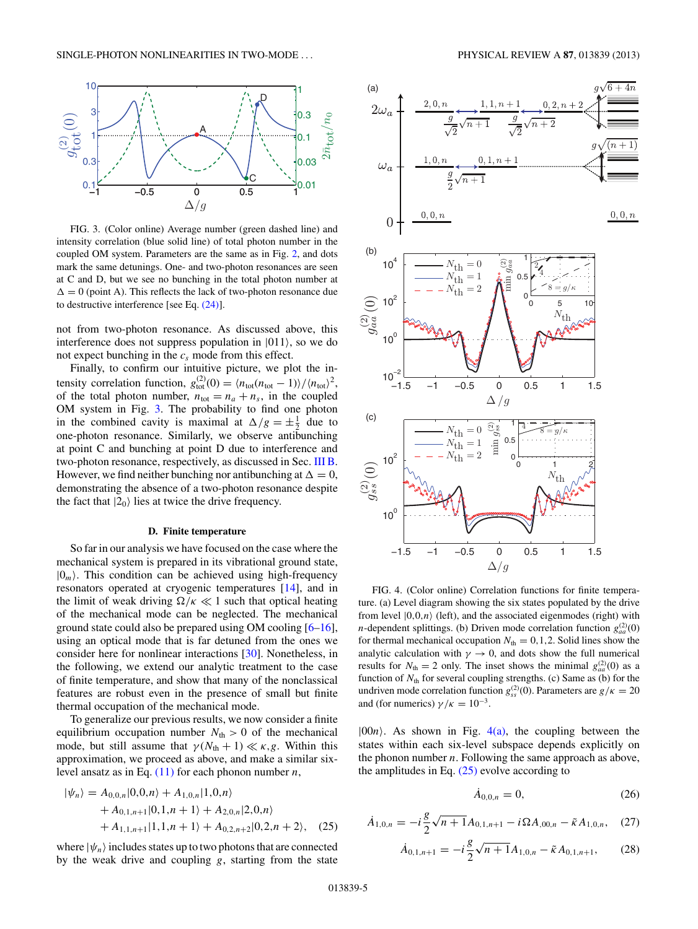<span id="page-4-0"></span>

FIG. 3. (Color online) Average number (green dashed line) and intensity correlation (blue solid line) of total photon number in the coupled OM system. Parameters are the same as in Fig. [2,](#page-2-0) and dots mark the same detunings. One- and two-photon resonances are seen at C and D, but we see no bunching in the total photon number at  $\Delta = 0$  (point A). This reflects the lack of two-photon resonance due to destructive interference [see Eq. [\(24\)\]](#page-3-0).

not from two-photon resonance. As discussed above, this interference does not suppress population in  $|011\rangle$ , so we do not expect bunching in the  $c_s$  mode from this effect.

Finally, to confirm our intuitive picture, we plot the intensity correlation function,  $g_{\text{tot}}^{(2)}(0) = \langle n_{\text{tot}}(n_{\text{tot}} - 1) \rangle / \langle n_{\text{tot}} \rangle^2$ , of the total photon number,  $n_{\text{tot}} = n_a + n_s$ , in the coupled OM system in Fig. 3. The probability to find one photon in the combined cavity is maximal at  $\Delta/g = \pm \frac{1}{2}$  due to one-photon resonance. Similarly, we observe antibunching at point C and bunching at point D due to interference and two-photon resonance, respectively, as discussed in Sec. [III B.](#page-2-0) However, we find neither bunching nor antibunching at  $\Delta = 0$ , demonstrating the absence of a two-photon resonance despite the fact that  $|2_0\rangle$  lies at twice the drive frequency.

### **D. Finite temperature**

So far in our analysis we have focused on the case where the mechanical system is prepared in its vibrational ground state,  $|0_m\rangle$ . This condition can be achieved using high-frequency resonators operated at cryogenic temperatures [\[14\]](#page-9-0), and in the limit of weak driving  $\Omega/\kappa \ll 1$  such that optical heating of the mechanical mode can be neglected. The mechanical ground state could also be prepared using OM cooling [\[6–](#page-8-0)[16\]](#page-9-0), using an optical mode that is far detuned from the ones we consider here for nonlinear interactions [\[30\]](#page-9-0). Nonetheless, in the following, we extend our analytic treatment to the case of finite temperature, and show that many of the nonclassical features are robust even in the presence of small but finite thermal occupation of the mechanical mode.

To generalize our previous results, we now consider a finite equilibrium occupation number  $N_{\text{th}} > 0$  of the mechanical mode, but still assume that  $\gamma(N_{\text{th}} + 1) \ll \kappa, g$ . Within this approximation, we proceed as above, and make a similar sixlevel ansatz as in Eq. [\(11\)](#page-3-0) for each phonon number *n*,

$$
|\psi_n\rangle = A_{0,0,n}|0,0,n\rangle + A_{1,0,n}|1,0,n\rangle + A_{0,1,n+1}|0,1,n+1\rangle + A_{2,0,n}|2,0,n\rangle + A_{1,1,n+1}|1,1,n+1\rangle + A_{0,2,n+2}|0,2,n+2\rangle, (25)
$$

where  $|\psi_n\rangle$  includes states up to two photons that are connected by the weak drive and coupling *g*, starting from the state



FIG. 4. (Color online) Correlation functions for finite temperature. (a) Level diagram showing the six states populated by the drive from level  $|0,0,n\rangle$  (left), and the associated eigenmodes (right) with *n*-dependent splittings. (b) Driven mode correlation function  $g_{aa}^{(2)}(0)$ for thermal mechanical occupation  $N_{\text{th}} = 0, 1, 2$ . Solid lines show the analytic calculation with  $\gamma \to 0$ , and dots show the full numerical results for  $N_{\text{th}} = 2$  only. The inset shows the minimal  $g_{aa}^{(2)}(0)$  as a function of  $N_{\text{th}}$  for several coupling strengths. (c) Same as (b) for the undriven mode correlation function  $g_{ss}^{(2)}(0)$ . Parameters are  $g/\kappa = 20$ and (for numerics)  $\gamma/\kappa = 10^{-3}$ .

 $|00n\rangle$ . As shown in Fig.  $4(a)$ , the coupling between the states within each six-level subspace depends explicitly on the phonon number *n*. Following the same approach as above, the amplitudes in Eq.  $(25)$  evolve according to

$$
\dot{A}_{0,0,n} = 0,\t(26)
$$

$$
\dot{A}_{1,0,n} = -i\frac{g}{2}\sqrt{n+1}A_{0,1,n+1} - i\Omega A_{,00,n} - \tilde{\kappa}A_{1,0,n}, \quad (27)
$$

$$
\dot{A}_{0,1,n+1} = -i\frac{g}{2}\sqrt{n+1}A_{1,0,n} - \tilde{\kappa}A_{0,1,n+1},\qquad(28)
$$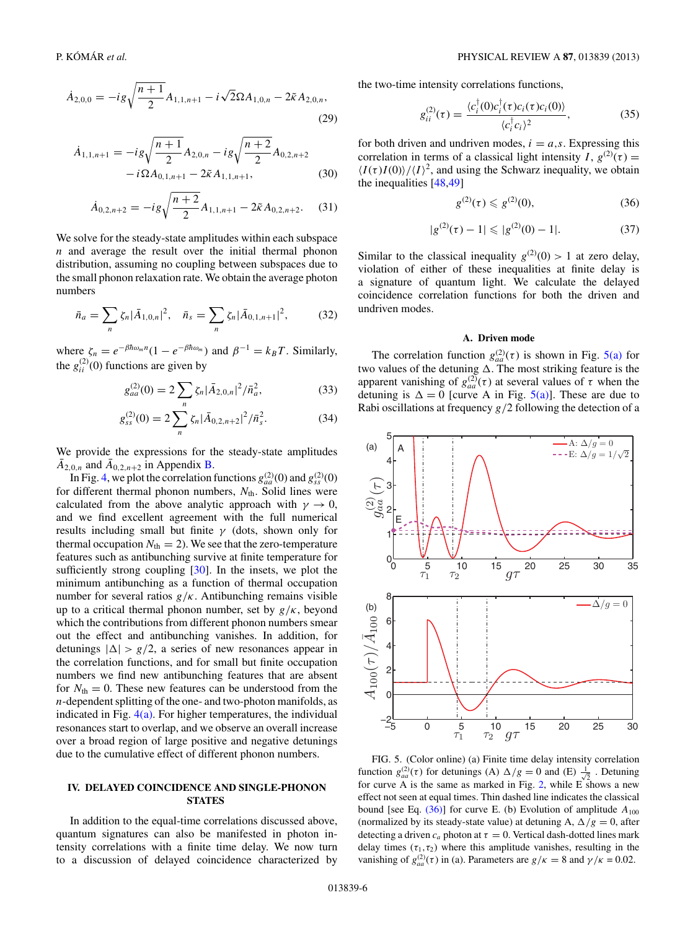<span id="page-5-0"></span>
$$
\dot{A}_{2,0,0} = -ig\sqrt{\frac{n+1}{2}}A_{1,1,n+1} - i\sqrt{2}\Omega A_{1,0,n} - 2\tilde{\kappa} A_{2,0,n},\tag{29}
$$

$$
\dot{A}_{1,1,n+1} = -ig\sqrt{\frac{n+1}{2}}A_{2,0,n} - ig\sqrt{\frac{n+2}{2}}A_{0,2,n+2} - i\Omega A_{0,1,n+1} - 2\tilde{\kappa} A_{1,1,n+1},
$$
\n(30)

$$
\dot{A}_{0,2,n+2} = -ig\sqrt{\frac{n+2}{2}}A_{1,1,n+1} - 2\tilde{\kappa}A_{0,2,n+2}.
$$
 (31)

We solve for the steady-state amplitudes within each subspace *n* and average the result over the initial thermal phonon distribution, assuming no coupling between subspaces due to the small phonon relaxation rate. We obtain the average photon numbers

$$
\bar{n}_a = \sum_n \zeta_n |\bar{A}_{1,0,n}|^2, \quad \bar{n}_s = \sum_n \zeta_n |\bar{A}_{0,1,n+1}|^2,\tag{32}
$$

where  $\zeta_n = e^{-\beta \hbar \omega_m n} (1 - e^{-\beta \hbar \omega_m})$  and  $\beta^{-1} = k_B T$ . Similarly, the  $g_{ii}^{(2)}(0)$  functions are given by

$$
g_{aa}^{(2)}(0) = 2\sum_{n} \zeta_n |\bar{A}_{2,0,n}|^2 / \bar{n}_a^2, \qquad (33)
$$

$$
g_{ss}^{(2)}(0) = 2\sum_{n} \zeta_n |\bar{A}_{0,2,n+2}|^2 / \bar{n}_s^2.
$$
 (34)

We provide the expressions for the steady-state amplitudes  $A_{2,0,n}$  and  $\bar{A}_{0,2,n+2}$  in Appendix **B**.

In Fig. [4,](#page-4-0) we plot the correlation functions  $g_{aa}^{(2)}(0)$  and  $g_{ss}^{(2)}(0)$ for different thermal phonon numbers,  $N_{\text{th}}$ . Solid lines were calculated from the above analytic approach with  $\gamma \to 0$ , and we find excellent agreement with the full numerical results including small but finite *γ* (dots, shown only for thermal occupation  $N_{\text{th}} = 2$ ). We see that the zero-temperature features such as antibunching survive at finite temperature for sufficiently strong coupling  $[30]$ . In the insets, we plot the minimum antibunching as a function of thermal occupation number for several ratios *g/κ*. Antibunching remains visible up to a critical thermal phonon number, set by *g/κ*, beyond which the contributions from different phonon numbers smear out the effect and antibunching vanishes. In addition, for detunings  $|\Delta| > g/2$ , a series of new resonances appear in the correlation functions, and for small but finite occupation numbers we find new antibunching features that are absent for  $N_{\text{th}} = 0$ . These new features can be understood from the *n*-dependent splitting of the one- and two-photon manifolds, as indicated in Fig.  $4(a)$ . For higher temperatures, the individual resonances start to overlap, and we observe an overall increase over a broad region of large positive and negative detunings due to the cumulative effect of different phonon numbers.

# **IV. DELAYED COINCIDENCE AND SINGLE-PHONON STATES**

In addition to the equal-time correlations discussed above, quantum signatures can also be manifested in photon intensity correlations with a finite time delay. We now turn to a discussion of delayed coincidence characterized by

the two-time intensity correlations functions,

$$
g_{ii}^{(2)}(\tau) = \frac{\langle c_i^{\dagger}(0)c_i^{\dagger}(\tau)c_i(\tau)c_i(0)\rangle}{\langle c_i^{\dagger}c_i\rangle^2},
$$
(35)

for both driven and undriven modes,  $i = a, s$ . Expressing this correlation in terms of a classical light intensity  $I$ ,  $g^{(2)}(\tau)$  =  $\langle I(\tau)I(0)\rangle/\langle I\rangle^2$ , and using the Schwarz inequality, we obtain the inequalities [\[48,49\]](#page-9-0)

$$
g^{(2)}(\tau) \leqslant g^{(2)}(0),\tag{36}
$$

$$
|g^{(2)}(\tau) - 1| \leq |g^{(2)}(0) - 1|.
$$
 (37)

Similar to the classical inequality  $g^{(2)}(0) > 1$  at zero delay, violation of either of these inequalities at finite delay is a signature of quantum light. We calculate the delayed coincidence correlation functions for both the driven and undriven modes.

## **A. Driven mode**

The correlation function  $g_{aa}^{(2)}(\tau)$  is shown in Fig. 5(a) for two values of the detuning  $\Delta$ . The most striking feature is the apparent vanishing of  $g_{aa}^{(2)}(\tau)$  at several values of  $\tau$  when the detuning is  $\Delta = 0$  [curve A in Fig. 5(a)]. These are due to Rabi oscillations at frequency *g/*2 following the detection of a



FIG. 5. (Color online) (a) Finite time delay intensity correlation function  $g_{aa}^{(2)}(\tau)$  for detunings (A)  $\Delta/g = 0$  and (E)  $\frac{1}{\sqrt{2}}$ . Detuning for curve A is the same as marked in Fig. [2,](#page-2-0) while  $E \n<sub>s</sub>$  shows a new effect not seen at equal times. Thin dashed line indicates the classical bound [see Eq.  $(36)$ ] for curve E. (b) Evolution of amplitude  $A_{100}$ (normalized by its steady-state value) at detuning A,  $\Delta/g = 0$ , after detecting a driven  $c_a$  photon at  $\tau = 0$ . Vertical dash-dotted lines mark delay times  $(\tau_1, \tau_2)$  where this amplitude vanishes, resulting in the vanishing of  $g_{aa}^{(2)}(\tau)$  in (a). Parameters are  $g/\kappa = 8$  and  $\gamma/\kappa = 0.02$ .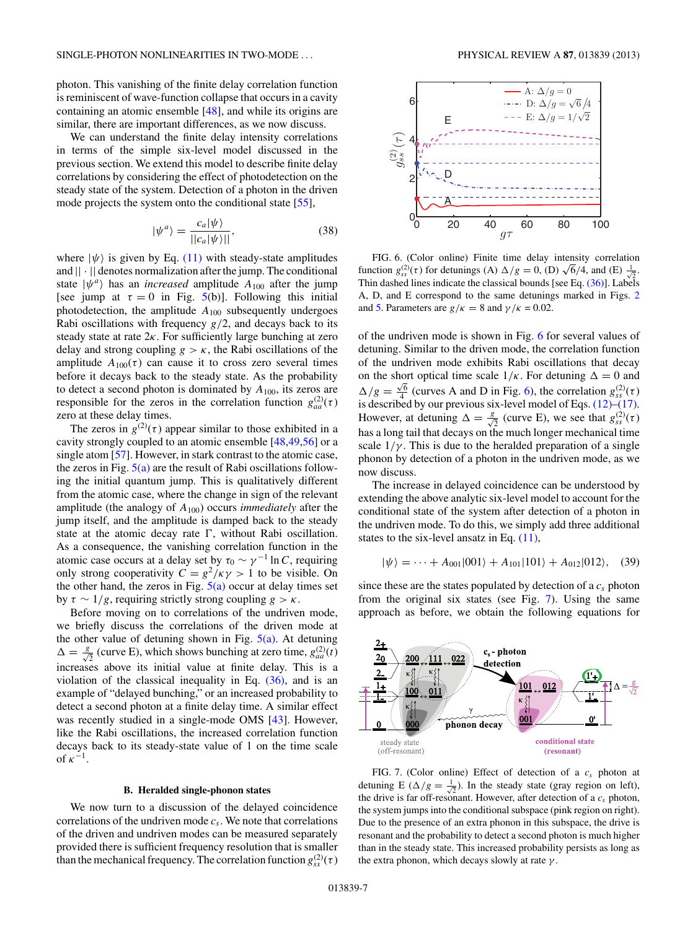<span id="page-6-0"></span>photon. This vanishing of the finite delay correlation function is reminiscent of wave-function collapse that occurs in a cavity containing an atomic ensemble [\[48\]](#page-9-0), and while its origins are similar, there are important differences, as we now discuss.

We can understand the finite delay intensity correlations in terms of the simple six-level model discussed in the previous section. We extend this model to describe finite delay correlations by considering the effect of photodetection on the steady state of the system. Detection of a photon in the driven mode projects the system onto the conditional state [\[55\]](#page-9-0),

$$
|\psi^a\rangle = \frac{c_a |\psi\rangle}{||c_a |\psi\rangle||},\tag{38}
$$

where  $|\psi\rangle$  is given by Eq. [\(11\)](#page-3-0) with steady-state amplitudes and  $|| \cdot ||$  denotes normalization after the jump. The conditional state  $|\psi^a\rangle$  has an *increased* amplitude  $A_{100}$  after the jump [see jump at  $\tau = 0$  in Fig. [5\(](#page-5-0)b)]. Following this initial photodetection, the amplitude *A*<sup>100</sup> subsequently undergoes Rabi oscillations with frequency  $g/2$ , and decays back to its steady state at rate 2*κ*. For sufficiently large bunching at zero delay and strong coupling  $g > \kappa$ , the Rabi oscillations of the amplitude  $A_{100}(\tau)$  can cause it to cross zero several times before it decays back to the steady state. As the probability to detect a second photon is dominated by *A*100, its zeros are responsible for the zeros in the correlation function  $g_{aa}^{(2)}(\tau)$ zero at these delay times.

The zeros in  $g^{(2)}(\tau)$  appear similar to those exhibited in a cavity strongly coupled to an atomic ensemble [\[48,49,56\]](#page-9-0) or a single atom [\[57\]](#page-9-0). However, in stark contrast to the atomic case, the zeros in Fig.  $5(a)$  are the result of Rabi oscillations following the initial quantum jump. This is qualitatively different from the atomic case, where the change in sign of the relevant amplitude (the analogy of *A*100) occurs *immediately* after the jump itself, and the amplitude is damped back to the steady state at the atomic decay rate , without Rabi oscillation. As a consequence, the vanishing correlation function in the atomic case occurs at a delay set by  $\tau_0 \sim \gamma^{-1} \ln C$ , requiring only strong cooperativity  $C = g^2/\kappa \gamma > 1$  to be visible. On the other hand, the zeros in Fig.  $5(a)$  occur at delay times set by *τ* ∼ 1*/g*, requiring strictly strong coupling *g>κ*.

Before moving on to correlations of the undriven mode, we briefly discuss the correlations of the driven mode at the other value of detuning shown in Fig.  $5(a)$ . At detuning  $\Delta = \frac{g}{\sqrt{2}}$  (curve E), which shows bunching at zero time,  $g_{aa}^{(2)}(t)$ increases above its initial value at finite delay. This is a violation of the classical inequality in Eq.  $(36)$ , and is an example of "delayed bunching," or an increased probability to detect a second photon at a finite delay time. A similar effect was recently studied in a single-mode OMS [\[43\]](#page-9-0). However, like the Rabi oscillations, the increased correlation function decays back to its steady-state value of 1 on the time scale of  $\kappa^{-1}$ .

### **B. Heralded single-phonon states**

We now turn to a discussion of the delayed coincidence correlations of the undriven mode  $c_s$ . We note that correlations of the driven and undriven modes can be measured separately provided there is sufficient frequency resolution that is smaller than the mechanical frequency. The correlation function  $g_{ss}^{(2)}(\tau)$ 



FIG. 6. (Color online) Finite time delay intensity correlation function  $g_{ss}^{(2)}(\tau)$  for detunings (A)  $\Delta/g = 0$ , (D)  $\sqrt{6}/4$ , and (E)  $\frac{1}{\sqrt{2}}$ . Thin dashed lines indicate the classical bounds [see Eq. [\(36\)\]](#page-5-0). Labels A, D, and E correspond to the same detunings marked in Figs. [2](#page-2-0) and [5.](#page-5-0) Parameters are  $g/\kappa = 8$  and  $\gamma/\kappa = 0.02$ .

of the undriven mode is shown in Fig. 6 for several values of detuning. Similar to the driven mode, the correlation function of the undriven mode exhibits Rabi oscillations that decay on the short optical time scale  $1/\kappa$ . For detuning  $\Delta = 0$  and  $\Delta/g = \frac{\sqrt{6}}{4}$  (curves A and D in Fig. 6), the correlation  $g_{ss}^{(2)}(\tau)$ is described by our previous six-level model of Eqs. [\(12\)–\(17\).](#page-3-0) However, at detuning  $\Delta = \frac{g}{\sqrt{2}}$  (curve E), we see that  $g_{ss}^{(2)}(\tau)$ has a long tail that decays on the much longer mechanical time scale  $1/\gamma$ . This is due to the heralded preparation of a single phonon by detection of a photon in the undriven mode, as we now discuss.

The increase in delayed coincidence can be understood by extending the above analytic six-level model to account for the conditional state of the system after detection of a photon in the undriven mode. To do this, we simply add three additional states to the six-level ansatz in Eq. [\(11\),](#page-3-0)

$$
|\psi\rangle = \dots + A_{001}|001\rangle + A_{101}|101\rangle + A_{012}|012\rangle, \quad (39)
$$

since these are the states populated by detection of a  $c_s$  photon from the original six states (see Fig. 7). Using the same approach as before, we obtain the following equations for



FIG. 7. (Color online) Effect of detection of a *cs* photon at detuning E ( $\Delta/g = \frac{1}{\sqrt{2}}$ ). In the steady state (gray region on left), the drive is far off-resonant. However, after detection of a  $c_s$  photon, the system jumps into the conditional subspace (pink region on right). Due to the presence of an extra phonon in this subspace, the drive is resonant and the probability to detect a second photon is much higher than in the steady state. This increased probability persists as long as the extra phonon, which decays slowly at rate *γ* .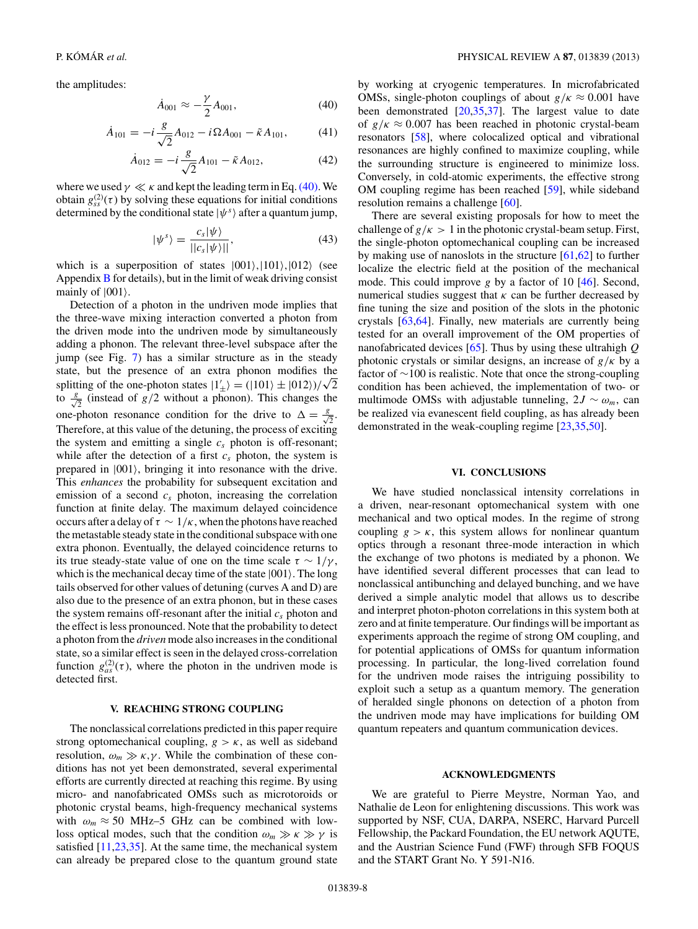<span id="page-7-0"></span>the amplitudes:

$$
\dot{A}_{001} \approx -\frac{\gamma}{2} A_{001},\tag{40}
$$

$$
\dot{A}_{101} = -i\frac{g}{\sqrt{2}}A_{012} - i\Omega A_{001} - \tilde{\kappa} A_{101},\qquad(41)
$$

$$
\dot{A}_{012} = -i\frac{g}{\sqrt{2}}A_{101} - \tilde{\kappa}A_{012},\tag{42}
$$

where we used  $\gamma \ll \kappa$  and kept the leading term in Eq. (40). We obtain  $g_{ss}^{(2)}(\tau)$  by solving these equations for initial conditions determined by the conditional state  $|\psi^s\rangle$  after a quantum jump,

$$
|\psi^s\rangle = \frac{c_s |\psi\rangle}{||c_s|\psi\rangle||},\tag{43}
$$

which is a superposition of states  $|001\rangle$ ,  $|101\rangle$ ,  $|012\rangle$  (see Appendix  $\bf{B}$  $\bf{B}$  $\bf{B}$  for details), but in the limit of weak driving consist mainly of  $|001\rangle$ .

Detection of a photon in the undriven mode implies that the three-wave mixing interaction converted a photon from the driven mode into the undriven mode by simultaneously adding a phonon. The relevant three-level subspace after the jump (see Fig. [7\)](#page-6-0) has a similar structure as in the steady state, but the presence of an extra phonon modifies the splitting of the one-photon states  $1'_{\pm}$  =  $(|101\rangle \pm |012\rangle)/\sqrt{2}$ to  $\frac{s}{\sqrt{2}}$  (instead of *g*/2 without a phonon). This changes the one-photon resonance condition for the drive to  $\Delta = \frac{g}{\sqrt{2}}$ . Therefore, at this value of the detuning, the process of exciting the system and emitting a single *cs* photon is off-resonant; while after the detection of a first  $c_s$  photon, the system is prepared in |001, bringing it into resonance with the drive. This *enhances* the probability for subsequent excitation and emission of a second  $c_s$  photon, increasing the correlation function at finite delay. The maximum delayed coincidence occurs after a delay of  $\tau \sim 1/\kappa$ , when the photons have reached the metastable steady state in the conditional subspace with one extra phonon. Eventually, the delayed coincidence returns to its true steady-state value of one on the time scale  $\tau \sim 1/\gamma$ , which is the mechanical decay time of the state  $|001\rangle$ . The long tails observed for other values of detuning (curves A and D) are also due to the presence of an extra phonon, but in these cases the system remains off-resonant after the initial  $c_s$  photon and the effect is less pronounced. Note that the probability to detect a photon from the *driven* mode also increases in the conditional state, so a similar effect is seen in the delayed cross-correlation function  $g_{as}^{(2)}(\tau)$ , where the photon in the undriven mode is detected first.

#### **V. REACHING STRONG COUPLING**

The nonclassical correlations predicted in this paper require strong optomechanical coupling,  $g > \kappa$ , as well as sideband resolution,  $\omega_m \gg \kappa, \gamma$ . While the combination of these conditions has not yet been demonstrated, several experimental efforts are currently directed at reaching this regime. By using micro- and nanofabricated OMSs such as microtoroids or photonic crystal beams, high-frequency mechanical systems with  $\omega_m \approx 50$  MHz–5 GHz can be combined with lowloss optical modes, such that the condition  $\omega_m \gg \kappa \gg \gamma$  is satisfied [\[11,23,35\]](#page-9-0). At the same time, the mechanical system can already be prepared close to the quantum ground state

by working at cryogenic temperatures. In microfabricated OMSs, single-photon couplings of about  $g/\kappa \approx 0.001$  have been demonstrated [\[20,35,37\]](#page-9-0). The largest value to date of  $g/\kappa \approx 0.007$  has been reached in photonic crystal-beam resonators [\[58\]](#page-9-0), where colocalized optical and vibrational resonances are highly confined to maximize coupling, while the surrounding structure is engineered to minimize loss. Conversely, in cold-atomic experiments, the effective strong OM coupling regime has been reached [\[59\]](#page-9-0), while sideband resolution remains a challenge [\[60\]](#page-9-0).

There are several existing proposals for how to meet the challenge of  $g/\kappa > 1$  in the photonic crystal-beam setup. First, the single-photon optomechanical coupling can be increased by making use of nanoslots in the structure  $[61,62]$  to further localize the electric field at the position of the mechanical mode. This could improve *g* by a factor of 10 [\[46\]](#page-9-0). Second, numerical studies suggest that *κ* can be further decreased by fine tuning the size and position of the slots in the photonic crystals [\[63,64\]](#page-9-0). Finally, new materials are currently being tested for an overall improvement of the OM properties of nanofabricated devices [\[65\]](#page-9-0). Thus by using these ultrahigh *Q* photonic crystals or similar designs, an increase of *g/κ* by a factor of ∼100 is realistic. Note that once the strong-coupling condition has been achieved, the implementation of two- or multimode OMSs with adjustable tunneling,  $2J \sim \omega_m$ , can be realized via evanescent field coupling, as has already been demonstrated in the weak-coupling regime [\[23,35,50\]](#page-9-0).

# **VI. CONCLUSIONS**

We have studied nonclassical intensity correlations in a driven, near-resonant optomechanical system with one mechanical and two optical modes. In the regime of strong coupling  $g > \kappa$ , this system allows for nonlinear quantum optics through a resonant three-mode interaction in which the exchange of two photons is mediated by a phonon. We have identified several different processes that can lead to nonclassical antibunching and delayed bunching, and we have derived a simple analytic model that allows us to describe and interpret photon-photon correlations in this system both at zero and at finite temperature. Our findings will be important as experiments approach the regime of strong OM coupling, and for potential applications of OMSs for quantum information processing. In particular, the long-lived correlation found for the undriven mode raises the intriguing possibility to exploit such a setup as a quantum memory. The generation of heralded single phonons on detection of a photon from the undriven mode may have implications for building OM quantum repeaters and quantum communication devices.

### **ACKNOWLEDGMENTS**

We are grateful to Pierre Meystre, Norman Yao, and Nathalie de Leon for enlightening discussions. This work was supported by NSF, CUA, DARPA, NSERC, Harvard Purcell Fellowship, the Packard Foundation, the EU network AQUTE, and the Austrian Science Fund (FWF) through SFB FOQUS and the START Grant No. Y 591-N16.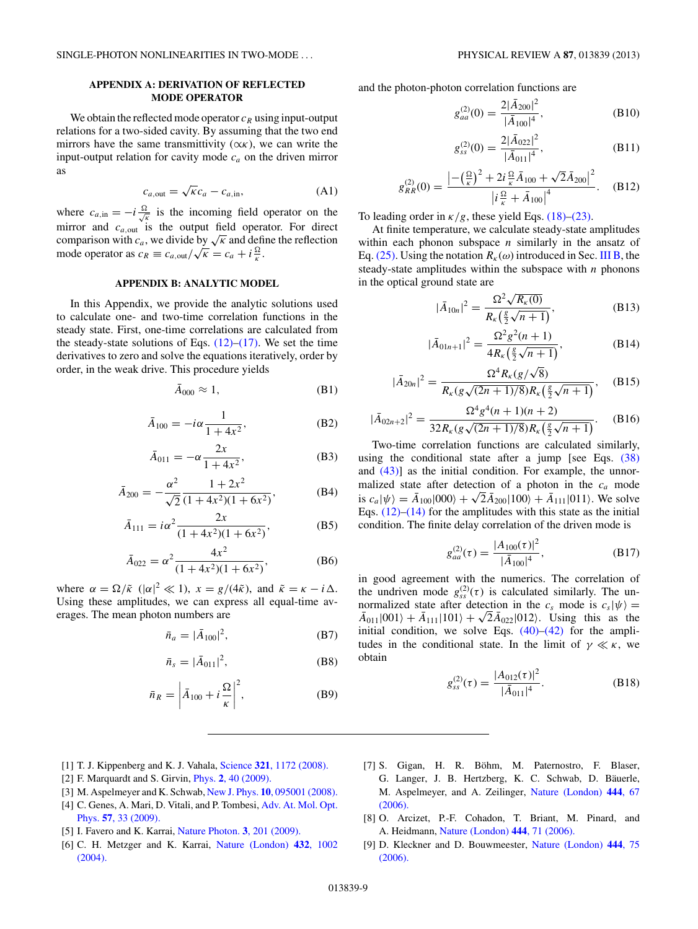# <span id="page-8-0"></span>**APPENDIX A: DERIVATION OF REFLECTED MODE OPERATOR**

We obtain the reflected mode operator  $c_R$  using input-output relations for a two-sided cavity. By assuming that the two end mirrors have the same transmittivity  $(\alpha \kappa)$ , we can write the input-output relation for cavity mode  $c_a$  on the driven mirror as

$$
c_{a, \text{out}} = \sqrt{\kappa} c_a - c_{a, \text{in}},\tag{A1}
$$

where  $c_{a,in} = -i \frac{\Omega}{\sqrt{k}}$  is the incoming field operator on the mirror and *c<sub>a,out</sub>* is the output field operator. For direct comparison with  $c_a$ , we divide by  $\sqrt{\kappa}$  and define the reflection mode operator as  $c_R \equiv c_{a, \text{out}} / \sqrt{\kappa} = c_a + i \frac{\Omega}{\kappa}$ .

# **APPENDIX B: ANALYTIC MODEL**

In this Appendix, we provide the analytic solutions used to calculate one- and two-time correlation functions in the steady state. First, one-time correlations are calculated from the steady-state solutions of Eqs.  $(12)$ – $(17)$ . We set the time derivatives to zero and solve the equations iteratively, order by order, in the weak drive. This procedure yields

$$
\bar{A}_{000} \approx 1, \tag{B1}
$$

$$
\bar{A}_{100} = -i\alpha \frac{1}{1 + 4x^2},
$$
 (B2)

$$
\bar{A}_{011} = -\alpha \frac{2x}{1 + 4x^2},
$$
 (B3)

$$
\bar{A}_{200} = -\frac{\alpha^2}{\sqrt{2}} \frac{1 + 2x^2}{(1 + 4x^2)(1 + 6x^2)},
$$
 (B4)

$$
\bar{A}_{111} = i\alpha^2 \frac{2x}{(1+4x^2)(1+6x^2)},
$$
 (B5)

$$
\bar{A}_{022} = \alpha^2 \frac{4x^2}{(1+4x^2)(1+6x^2)},
$$
 (B6)

where  $\alpha = \Omega/\tilde{\kappa}$  ( $|\alpha|^2 \ll 1$ ),  $x = g/(4\tilde{\kappa})$ , and  $\tilde{\kappa} = \kappa - i\Delta$ . Using these amplitudes, we can express all equal-time averages. The mean photon numbers are

$$
\bar{n}_a = |\bar{A}_{100}|^2, \tag{B7}
$$

$$
\bar{n}_s = |\bar{A}_{011}|^2, \tag{B8}
$$

$$
\bar{n}_R = \left| \bar{A}_{100} + i \frac{\Omega}{\kappa} \right|^2, \tag{B9}
$$

and the photon-photon correlation functions are

$$
g_{aa}^{(2)}(0) = \frac{2|\bar{A}_{200}|^2}{|\bar{A}_{100}|^4},
$$
 (B10)

$$
g_{ss}^{(2)}(0) = \frac{2|\bar{A}_{022}|^2}{|\bar{A}_{011}|^4},
$$
 (B11)

$$
g_{RR}^{(2)}(0) = \frac{\left| -\left(\frac{\Omega}{\kappa}\right)^2 + 2i\frac{\Omega}{\kappa}\bar{A}_{100} + \sqrt{2}\bar{A}_{200} \right|^2}{\left| i\frac{\Omega}{\kappa} + \bar{A}_{100} \right|^4}.
$$
 (B12)

To leading order in  $\frac{\kappa}{g}$ , these yield Eqs. [\(18\)–\(23\).](#page-3-0)

At finite temperature, we calculate steady-state amplitudes within each phonon subspace *n* similarly in the ansatz of Eq. [\(25\).](#page-4-0) Using the notation  $R_k(\omega)$  introduced in Sec. [III B,](#page-2-0) the steady-state amplitudes within the subspace with *n* phonons in the optical ground state are

$$
|\bar{A}_{10n}|^2 = \frac{\Omega^2 \sqrt{R_{\kappa}(0)}}{R_{\kappa}(\frac{g}{2}\sqrt{n+1})},
$$
\n(B13)

$$
|\bar{A}_{01n+1}|^2 = \frac{\Omega^2 g^2 (n+1)}{4R_{\kappa} \left(\frac{g}{2} \sqrt{n+1}\right)},
$$
 (B14)

$$
|\bar{A}_{20n}|^2 = \frac{\Omega^4 R_{\kappa}(g/\sqrt{8})}{R_{\kappa}(g\sqrt{(2n+1)/8})R_{\kappa}\left(\frac{g}{2}\sqrt{n+1}\right)},
$$
 (B15)

$$
|\bar{A}_{02n+2}|^2 = \frac{\Omega^4 g^4 (n+1)(n+2)}{32R_{\kappa}(g\sqrt{(2n+1)/8})R_{\kappa}\left(\frac{g}{2}\sqrt{n+1}\right)}.
$$
 (B16)

Two-time correlation functions are calculated similarly, using the conditional state after a jump [see Eqs. [\(38\)](#page-6-0) and [\(43\)\]](#page-7-0) as the initial condition. For example, the unnormalized state after detection of a photon in the *ca* mode is  $c_a|\psi\rangle = \bar{A}_{100}|000\rangle + \sqrt{2\bar{A}_{200}}|100\rangle + \bar{A}_{111}|011\rangle$ . We solve Eqs.  $(12)$ – $(14)$  for the amplitudes with this state as the initial condition. The finite delay correlation of the driven mode is

$$
g_{aa}^{(2)}(\tau) = \frac{|A_{100}(\tau)|^2}{|\bar{A}_{100}|^4},
$$
 (B17)

in good agreement with the numerics. The correlation of the undriven mode  $g_{ss}^{(2)}(\tau)$  is calculated similarly. The unnormalized state after detection in the  $c_s$  mode is  $c_s|\psi\rangle =$  $\bar{A}_{011}|001\rangle + \bar{A}_{111}|101\rangle + \sqrt{2}\bar{A}_{022}|012\rangle$ . Using this as the initial condition, we solve Eqs.  $(40)$ – $(42)$  for the amplitudes in the conditional state. In the limit of  $\gamma \ll \kappa$ , we obtain

$$
g_{ss}^{(2)}(\tau) = \frac{|A_{012}(\tau)|^2}{|\bar{A}_{011}|^4}.
$$
 (B18)

- [1] T. J. Kippenberg and K. J. Vahala, Science **321**[, 1172 \(2008\).](http://dx.doi.org/10.1126/science.1156032)
- [2] F. Marquardt and S. Girvin, Phys. **2**[, 40 \(2009\).](http://dx.doi.org/10.1103/Physics.2.40)
- [3] M. Aspelmeyer and K. Schwab, New J. Phys. **10**[, 095001 \(2008\).](http://dx.doi.org/10.1088/1367-2630/10/9/095001)
- [4] C. Genes, A. Mari, D. Vitali, and P. Tombesi, [Adv. At. Mol. Opt.](http://dx.doi.org/10.1016/S1049-250X(09)57002-4) Phys. **57**[, 33 \(2009\).](http://dx.doi.org/10.1016/S1049-250X(09)57002-4)
- [5] I. Favero and K. Karrai, [Nature Photon.](http://dx.doi.org/10.1038/nphoton.2009.42) **3**, 201 (2009).
- [6] C. H. Metzger and K. Karrai, [Nature \(London\)](http://dx.doi.org/10.1038/nature03118) **432**, 1002 [\(2004\).](http://dx.doi.org/10.1038/nature03118)
- [7] S. Gigan, H. R. Böhm, M. Paternostro, F. Blaser, G. Langer, J. B. Hertzberg, K. C. Schwab, D. Bäuerle, M. Aspelmeyer, and A. Zeilinger, [Nature \(London\)](http://dx.doi.org/10.1038/nature05273) **444**, 67 [\(2006\).](http://dx.doi.org/10.1038/nature05273)
- [8] O. Arcizet, P.-F. Cohadon, T. Briant, M. Pinard, and A. Heidmann, [Nature \(London\)](http://dx.doi.org/10.1038/nature05244) **444**, 71 (2006).
- [9] D. Kleckner and D. Bouwmeester, [Nature \(London\)](http://dx.doi.org/10.1038/nature05231) **444**, 75 [\(2006\).](http://dx.doi.org/10.1038/nature05231)